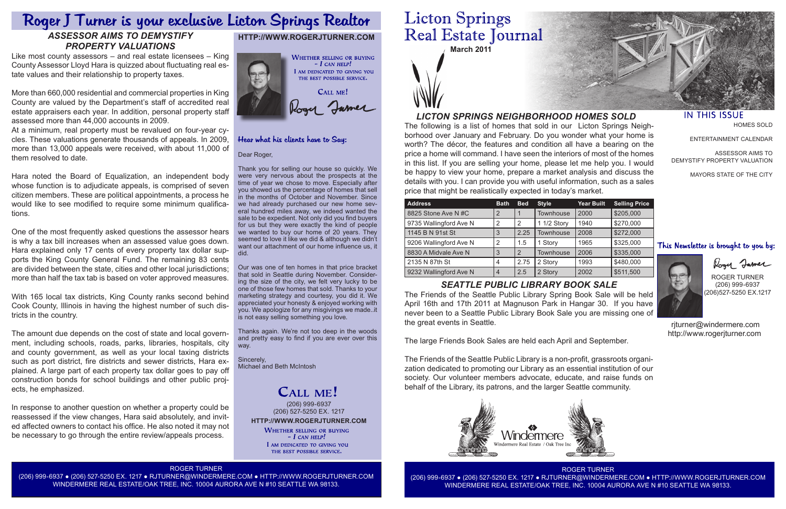**Licton Springs** Real Estate Journal **March 2011**

The following is a list of homes that sold in our Licton Springs Neighborhood over January and February. Do you wonder what your home is worth? The décor, the features and condition all have a bearing on the price a home will command. I have seen the interiors of most of the homes in this list. If you are selling your home, please let me help you. I would be happy to view your home, prepare a market analysis and discuss the details with you. I can provide you with useful information, such as a sales price that might be realistically expected in today's market.

## *LICTON SPRINGS NEIGHBORHOOD HOMES SOLD*





### Hear what his clients have to Say:

| <b>Address</b>         | <b>Bath</b>    | <b>Bed</b>     | <b>Style</b> | <b>Year Built</b> | <b>Selling Price</b> |
|------------------------|----------------|----------------|--------------|-------------------|----------------------|
| 8825 Stone Ave N#C     | $\overline{2}$ |                | Townhouse    | 2000              | \$205,000            |
| 9735 Wallingford Ave N | 2              | 2              | 1 1/2 Story  | 1940              | \$270,000            |
| 1145 B N 91st St       | 3              | 2.25           | Townhouse    | 2008              | \$272,000            |
| 9206 Wallingford Ave N | 2              | 1.5            | 1 Story      | 1965              | \$325,000            |
| 8830 A Midvale Ave N   | 3              | $\overline{2}$ | Townhouse    | 2006              | \$335,000            |
| 2135 N 87th St         | 4              | 2.75           | 2 Story      | 1993              | \$480,000            |
| 9232 Wallingford Ave N | $\overline{4}$ | 2.5            | 2 Story      | 2002              | \$511,500            |

#### Dear Roger,

Thank you for selling our house so quickly. We were very nervous about the prospects at the time of year we chose to move. Especially after you showed us the percentage of homes that sell in the months of October and November. Since we had already purchased our new home several hundred miles away, we indeed wanted the sale to be expedient. Not only did you find buyers for us but they were exactly the kind of people we wanted to buy our home of 20 years. They seemed to love it like we did & although we didn't want our attachment of our home influence us, it did.

**HTTP://WWW.ROGERJTURNER.COM** (206) 999-6937 (206) 527-5250 EX. 1217

> **WHETHER SELLING OR BUYING**  $-$  I can help! I AM DEDICATED TO GIVING YOU THE BEST POSSIBLE SERVICE.

Our was one of ten homes in that price bracket that sold in Seattle during November. Considering the size of the city, we felt very lucky to be one of those few homes that sold. Thanks to your marketing strategy and courtesy, you did it. We appreciated your honesty & enjoyed working with you. We apologize for any misgivings we made..it is not easy selling something you love.

Thanks again. We're not too deep in the woods and pretty easy to find if you are ever over this way.

Sincerely, Michael and Beth McIntosh

# CALL ME!

ROGER TURNER

(206) 999-6937 ● (206) 527-5250 EX. 1217 ● RJTURNER@WINDERMERE.COM ● HTTP://WWW.ROGERJTURNER.COM WINDERMERE REAL ESTATE/OAK TREE, INC. 10004 AURORA AVE N #10 SEATTLE WA 98133.



#### **IN THIS ISSUE**



HOMES SOLD

ENTERTAINMENT CALENDAR

ASSESSOR AIMS TO DEMYSTIFY PROPERTY VALUATION

MAYORS STATE OF THE CITY

### This Newsletter is brought to you by:

Rogy James

ROGER TURNER (206) 999-6937 (206)527-5250 EX.1217

 rjturner@windermere.com http://www.rogerjturner.com

## *SEATTLE PUBLIC LIBRARY BOOK SALE*

The Friends of the Seattle Public Library Spring Book Sale will be held April 16th and 17th 2011 at Magnuson Park in Hangar 30. If you have never been to a Seattle Public Library Book Sale you are missing one of the great events in Seattle.

The large Friends Book Sales are held each April and September.

The Friends of the Seattle Public Library is a non-profit, grassroots organization dedicated to promoting our Library as an essential institution of our society. Our volunteer members advocate, educate, and raise funds on behalf of the Library, its patrons, and the larger Seattle community.



# Roger J Turner is your exclusive Licton Springs Realtor

# *ASSESSOR AIMS TO DEMYSTIFY PROPERTY VALUATIONS*

Like most county assessors – and real estate licensees – King County Assessor Lloyd Hara is quizzed about fluctuating real estate values and their relationship to property taxes.

More than 660,000 residential and commercial properties in King County are valued by the Department's staff of accredited real estate appraisers each year. In addition, personal property staff assessed more than 44,000 accounts in 2009.

At a minimum, real property must be revalued on four-year cycles. These valuations generate thousands of appeals. In 2009, more than 13,000 appeals were received, with about 11,000 of them resolved to date.

Hara noted the Board of Equalization, an independent body whose function is to adjudicate appeals, is comprised of seven citizen members. These are political appointments, a process he would like to see modified to require some minimum qualifications.

One of the most frequently asked questions the assessor hears is why a tax bill increases when an assessed value goes down. Hara explained only 17 cents of every property tax dollar supports the King County General Fund. The remaining 83 cents are divided between the state, cities and other local jurisdictions; more than half the tax tab is based on voter approved measures.

With 165 local tax districts, King County ranks second behind Cook County, Illinois in having the highest number of such districts in the country.

The amount due depends on the cost of state and local government, including schools, roads, parks, libraries, hospitals, city and county government, as well as your local taxing districts such as port district, fire districts and sewer districts, Hara explained. A large part of each property tax dollar goes to pay off construction bonds for school buildings and other public projects, he emphasized.

In response to another question on whether a property could be reassessed if the view changes, Hara said absolutely, and invited affected owners to contact his office. He also noted it may not be necessary to go through the entire review/appeals process.